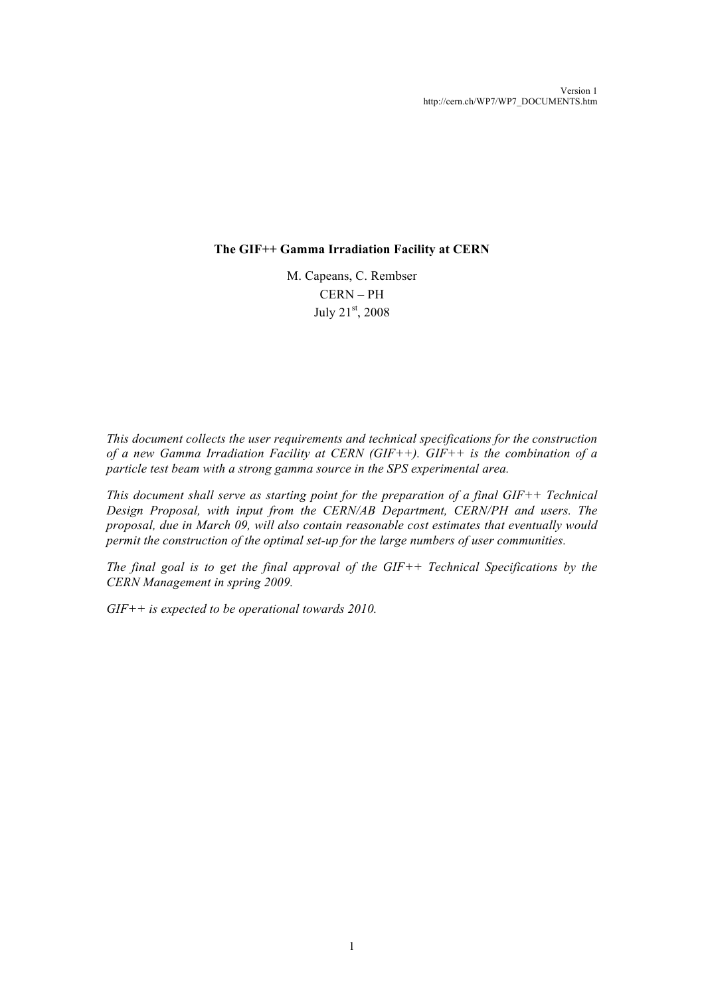### **The GIF++ Gamma Irradiation Facility at CERN**

M. Capeans, C. Rembser CERN – PH July 21st, 2008

*This document collects the user requirements and technical specifications for the construction of a new Gamma Irradiation Facility at CERN (GIF++). GIF++ is the combination of a particle test beam with a strong gamma source in the SPS experimental area.*

*This document shall serve as starting point for the preparation of a final GIF++ Technical Design Proposal, with input from the CERN/AB Department, CERN/PH and users. The proposal, due in March 09, will also contain reasonable cost estimates that eventually would permit the construction of the optimal set-up for the large numbers of user communities.*

*The final goal is to get the final approval of the GIF++ Technical Specifications by the CERN Management in spring 2009.*

*GIF++ is expected to be operational towards 2010.*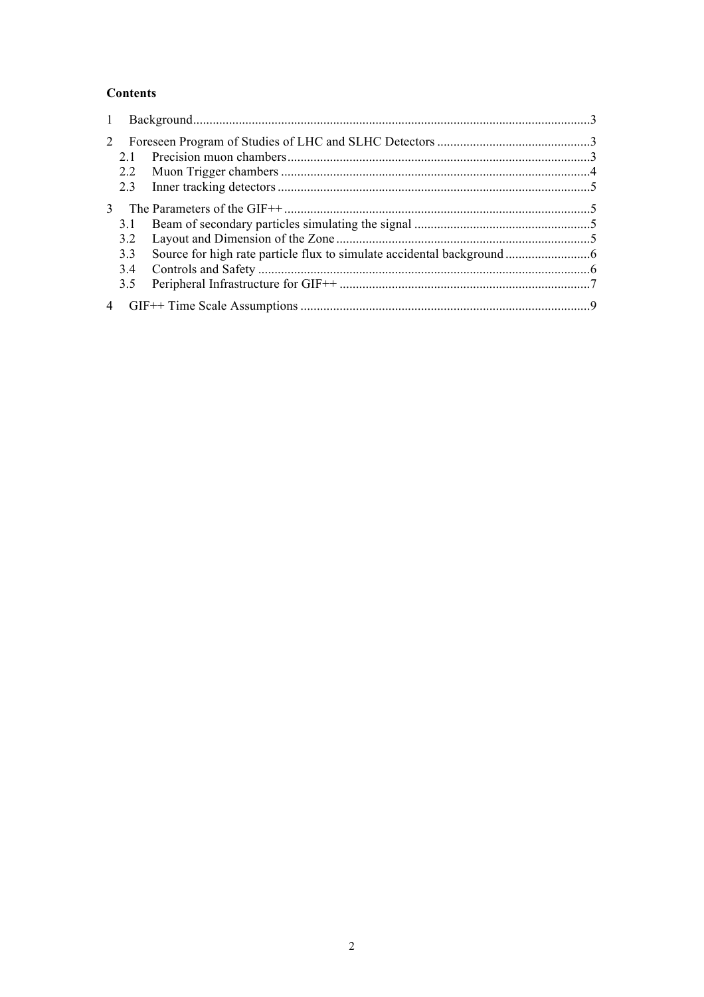## **Contents**

| $\mathbf{1}$   |     |  |  |  |
|----------------|-----|--|--|--|
| 2              |     |  |  |  |
|                | 21  |  |  |  |
|                | 2.2 |  |  |  |
|                | 2.3 |  |  |  |
| $\mathcal{E}$  |     |  |  |  |
|                | 3.1 |  |  |  |
|                | 3.2 |  |  |  |
|                | 3.3 |  |  |  |
|                | 3.4 |  |  |  |
|                | 3.5 |  |  |  |
| $\overline{4}$ |     |  |  |  |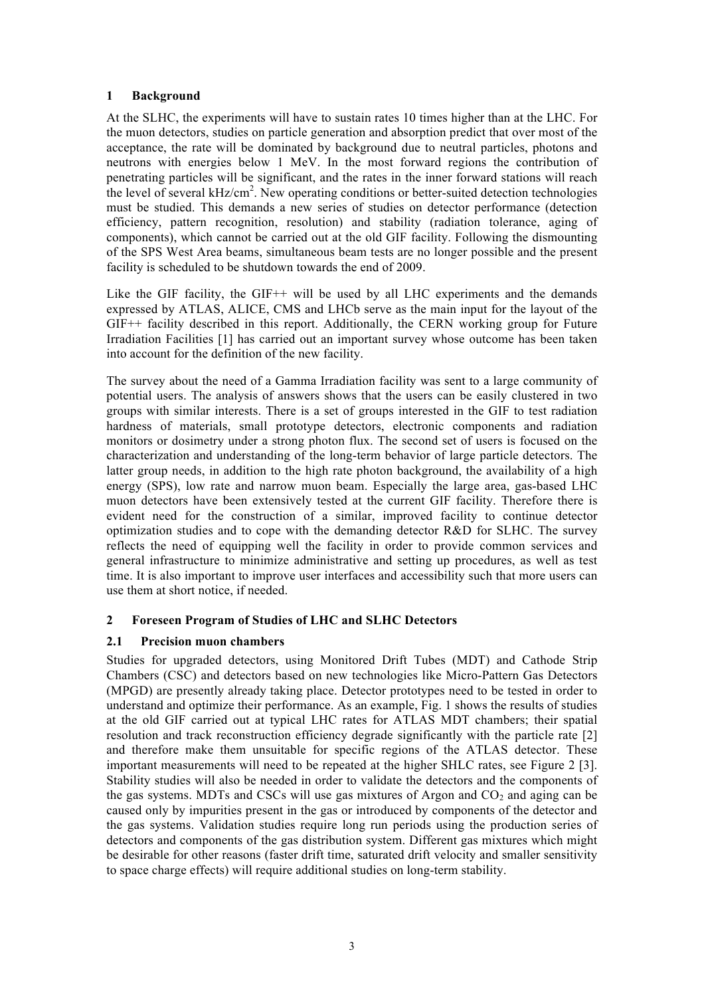### **1 Background**

At the SLHC, the experiments will have to sustain rates 10 times higher than at the LHC. For the muon detectors, studies on particle generation and absorption predict that over most of the acceptance, the rate will be dominated by background due to neutral particles, photons and neutrons with energies below 1 MeV. In the most forward regions the contribution of penetrating particles will be significant, and the rates in the inner forward stations will reach the level of several  $kHz/cm<sup>2</sup>$ . New operating conditions or better-suited detection technologies must be studied. This demands a new series of studies on detector performance (detection efficiency, pattern recognition, resolution) and stability (radiation tolerance, aging of components), which cannot be carried out at the old GIF facility. Following the dismounting of the SPS West Area beams, simultaneous beam tests are no longer possible and the present facility is scheduled to be shutdown towards the end of 2009.

Like the GIF facility, the GIF++ will be used by all LHC experiments and the demands expressed by ATLAS, ALICE, CMS and LHCb serve as the main input for the layout of the GIF++ facility described in this report. Additionally, the CERN working group for Future Irradiation Facilities [1] has carried out an important survey whose outcome has been taken into account for the definition of the new facility.

The survey about the need of a Gamma Irradiation facility was sent to a large community of potential users. The analysis of answers shows that the users can be easily clustered in two groups with similar interests. There is a set of groups interested in the GIF to test radiation hardness of materials, small prototype detectors, electronic components and radiation monitors or dosimetry under a strong photon flux. The second set of users is focused on the characterization and understanding of the long-term behavior of large particle detectors. The latter group needs, in addition to the high rate photon background, the availability of a high energy (SPS), low rate and narrow muon beam. Especially the large area, gas-based LHC muon detectors have been extensively tested at the current GIF facility. Therefore there is evident need for the construction of a similar, improved facility to continue detector optimization studies and to cope with the demanding detector R&D for SLHC. The survey reflects the need of equipping well the facility in order to provide common services and general infrastructure to minimize administrative and setting up procedures, as well as test time. It is also important to improve user interfaces and accessibility such that more users can use them at short notice, if needed.

### **2 Foreseen Program of Studies of LHC and SLHC Detectors**

# **2.1 Precision muon chambers**

Studies for upgraded detectors, using Monitored Drift Tubes (MDT) and Cathode Strip Chambers (CSC) and detectors based on new technologies like Micro-Pattern Gas Detectors (MPGD) are presently already taking place. Detector prototypes need to be tested in order to understand and optimize their performance. As an example, Fig. 1 shows the results of studies at the old GIF carried out at typical LHC rates for ATLAS MDT chambers; their spatial resolution and track reconstruction efficiency degrade significantly with the particle rate [2] and therefore make them unsuitable for specific regions of the ATLAS detector. These important measurements will need to be repeated at the higher SHLC rates, see Figure 2 [3]. Stability studies will also be needed in order to validate the detectors and the components of the gas systems. MDTs and CSCs will use gas mixtures of Argon and  $CO<sub>2</sub>$  and aging can be caused only by impurities present in the gas or introduced by components of the detector and the gas systems. Validation studies require long run periods using the production series of detectors and components of the gas distribution system. Different gas mixtures which might be desirable for other reasons (faster drift time, saturated drift velocity and smaller sensitivity to space charge effects) will require additional studies on long-term stability.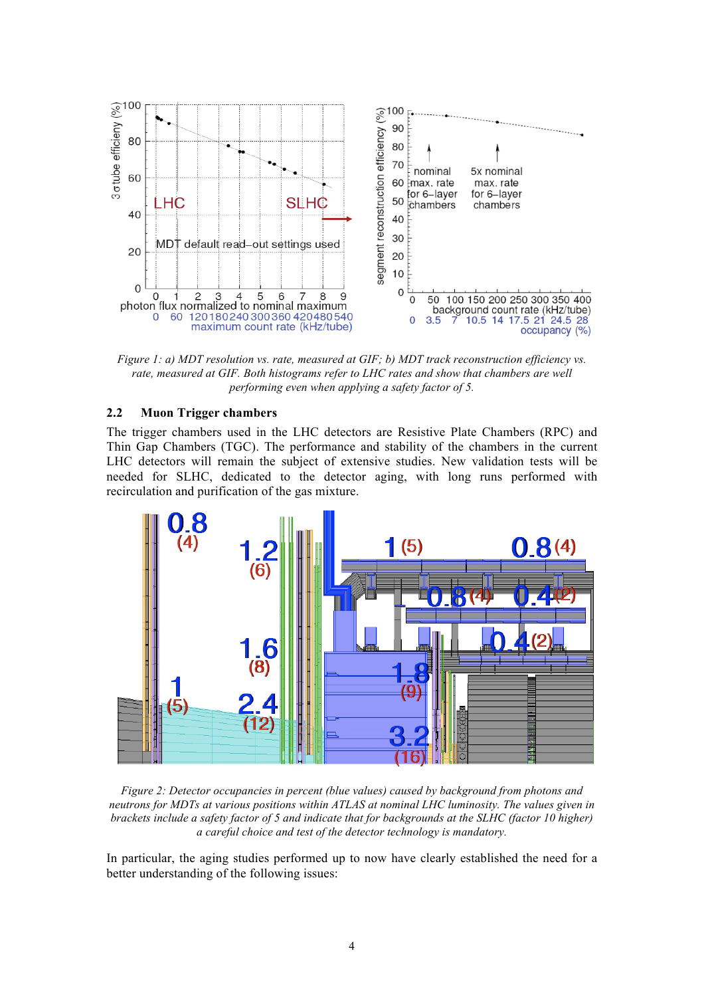

*Figure 1: a) MDT resolution vs. rate, measured at GIF; b) MDT track reconstruction efficiency vs. rate, measured at GIF. Both histograms refer to LHC rates and show that chambers are well performing even when applying a safety factor of 5.*

### **2.2 Muon Trigger chambers**

The trigger chambers used in the LHC detectors are Resistive Plate Chambers (RPC) and Thin Gap Chambers (TGC). The performance and stability of the chambers in the current LHC detectors will remain the subject of extensive studies. New validation tests will be needed for SLHC, dedicated to the detector aging, with long runs performed with recirculation and purification of the gas mixture.



*Figure 2: Detector occupancies in percent (blue values) caused by background from photons and neutrons for MDTs at various positions within ATLAS at nominal LHC luminosity. The values given in brackets include a safety factor of 5 and indicate that for backgrounds at the SLHC (factor 10 higher) a careful choice and test of the detector technology is mandatory.*

In particular, the aging studies performed up to now have clearly established the need for a better understanding of the following issues: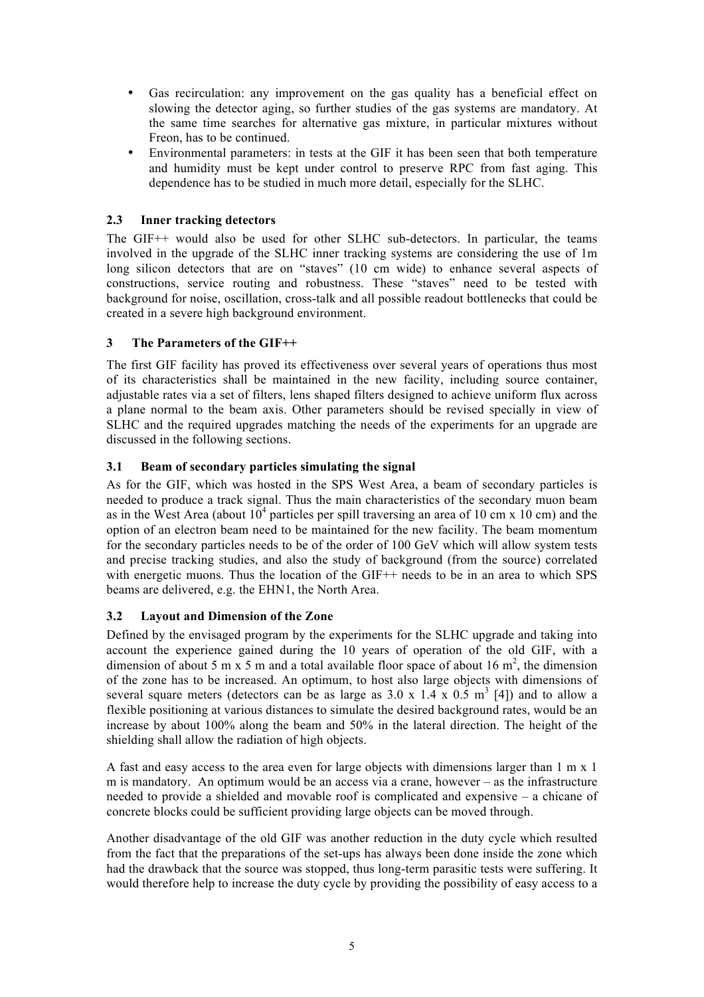- Gas recirculation: any improvement on the gas quality has a beneficial effect on slowing the detector aging, so further studies of the gas systems are mandatory. At the same time searches for alternative gas mixture, in particular mixtures without Freon, has to be continued.
- Environmental parameters: in tests at the GIF it has been seen that both temperature and humidity must be kept under control to preserve RPC from fast aging. This dependence has to be studied in much more detail, especially for the SLHC.

# **2.3 Inner tracking detectors**

The GIF++ would also be used for other SLHC sub-detectors. In particular, the teams involved in the upgrade of the SLHC inner tracking systems are considering the use of 1m long silicon detectors that are on "staves" (10 cm wide) to enhance several aspects of constructions, service routing and robustness. These "staves" need to be tested with background for noise, oscillation, cross-talk and all possible readout bottlenecks that could be created in a severe high background environment.

### **3 The Parameters of the GIF++**

The first GIF facility has proved its effectiveness over several years of operations thus most of its characteristics shall be maintained in the new facility, including source container, adjustable rates via a set of filters, lens shaped filters designed to achieve uniform flux across a plane normal to the beam axis. Other parameters should be revised specially in view of SLHC and the required upgrades matching the needs of the experiments for an upgrade are discussed in the following sections.

### **3.1 Beam of secondary particles simulating the signal**

As for the GIF, which was hosted in the SPS West Area, a beam of secondary particles is needed to produce a track signal. Thus the main characteristics of the secondary muon beam as in the West Area (about  $10^4$  particles per spill traversing an area of 10 cm x 10 cm) and the option of an electron beam need to be maintained for the new facility. The beam momentum for the secondary particles needs to be of the order of 100 GeV which will allow system tests and precise tracking studies, and also the study of background (from the source) correlated with energetic muons. Thus the location of the GIF++ needs to be in an area to which SPS beams are delivered, e.g. the EHN1, the North Area.

### **3.2 Layout and Dimension of the Zone**

Defined by the envisaged program by the experiments for the SLHC upgrade and taking into account the experience gained during the 10 years of operation of the old GIF, with a dimension of about 5 m x 5 m and a total available floor space of about 16  $m^2$ , the dimension of the zone has to be increased. An optimum, to host also large objects with dimensions of several square meters (detectors can be as large as  $3.0 \times 1.4 \times 0.5 \text{ m}^3$  [4]) and to allow a flexible positioning at various distances to simulate the desired background rates, would be an increase by about 100% along the beam and 50% in the lateral direction. The height of the shielding shall allow the radiation of high objects.

A fast and easy access to the area even for large objects with dimensions larger than 1 m x 1 m is mandatory. An optimum would be an access via a crane, however – as the infrastructure needed to provide a shielded and movable roof is complicated and expensive – a chicane of concrete blocks could be sufficient providing large objects can be moved through.

Another disadvantage of the old GIF was another reduction in the duty cycle which resulted from the fact that the preparations of the set-ups has always been done inside the zone which had the drawback that the source was stopped, thus long-term parasitic tests were suffering. It would therefore help to increase the duty cycle by providing the possibility of easy access to a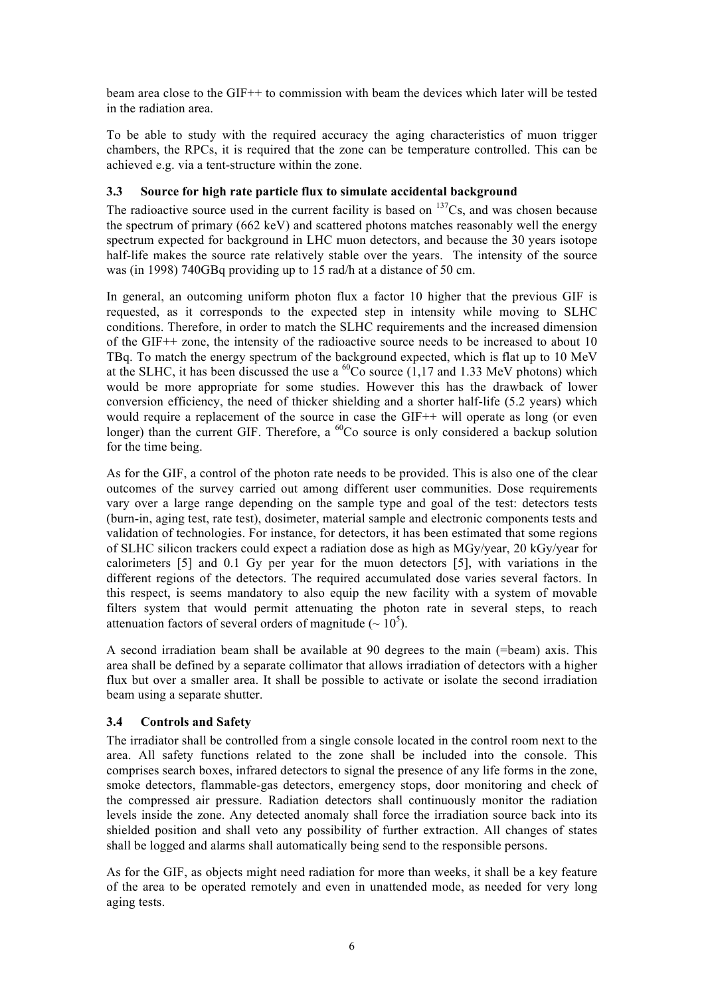beam area close to the GIF++ to commission with beam the devices which later will be tested in the radiation area.

To be able to study with the required accuracy the aging characteristics of muon trigger chambers, the RPCs, it is required that the zone can be temperature controlled. This can be achieved e.g. via a tent-structure within the zone.

### **3.3 Source for high rate particle flux to simulate accidental background**

The radioactive source used in the current facility is based on  $137Cs$ , and was chosen because the spectrum of primary (662 keV) and scattered photons matches reasonably well the energy spectrum expected for background in LHC muon detectors, and because the 30 years isotope half-life makes the source rate relatively stable over the years. The intensity of the source was (in 1998) 740GBq providing up to 15 rad/h at a distance of 50 cm.

In general, an outcoming uniform photon flux a factor 10 higher that the previous GIF is requested, as it corresponds to the expected step in intensity while moving to SLHC conditions. Therefore, in order to match the SLHC requirements and the increased dimension of the GIF++ zone, the intensity of the radioactive source needs to be increased to about 10 TBq. To match the energy spectrum of the background expected, which is flat up to 10 MeV at the SLHC, it has been discussed the use a  $^{60}$ Co source (1,17 and 1.33 MeV photons) which would be more appropriate for some studies. However this has the drawback of lower conversion efficiency, the need of thicker shielding and a shorter half-life (5.2 years) which would require a replacement of the source in case the GIF++ will operate as long (or even longer) than the current GIF. Therefore, a  ${}^{60}Co$  source is only considered a backup solution for the time being.

As for the GIF, a control of the photon rate needs to be provided. This is also one of the clear outcomes of the survey carried out among different user communities. Dose requirements vary over a large range depending on the sample type and goal of the test: detectors tests (burn-in, aging test, rate test), dosimeter, material sample and electronic components tests and validation of technologies. For instance, for detectors, it has been estimated that some regions of SLHC silicon trackers could expect a radiation dose as high as MGy/year, 20 kGy/year for calorimeters [5] and 0.1 Gy per year for the muon detectors [5], with variations in the different regions of the detectors. The required accumulated dose varies several factors. In this respect, is seems mandatory to also equip the new facility with a system of movable filters system that would permit attenuating the photon rate in several steps, to reach attenuation factors of several orders of magnitude ( $\sim 10^5$ ).

A second irradiation beam shall be available at 90 degrees to the main (=beam) axis. This area shall be defined by a separate collimator that allows irradiation of detectors with a higher flux but over a smaller area. It shall be possible to activate or isolate the second irradiation beam using a separate shutter.

### **3.4 Controls and Safety**

The irradiator shall be controlled from a single console located in the control room next to the area. All safety functions related to the zone shall be included into the console. This comprises search boxes, infrared detectors to signal the presence of any life forms in the zone, smoke detectors, flammable-gas detectors, emergency stops, door monitoring and check of the compressed air pressure. Radiation detectors shall continuously monitor the radiation levels inside the zone. Any detected anomaly shall force the irradiation source back into its shielded position and shall veto any possibility of further extraction. All changes of states shall be logged and alarms shall automatically being send to the responsible persons.

As for the GIF, as objects might need radiation for more than weeks, it shall be a key feature of the area to be operated remotely and even in unattended mode, as needed for very long aging tests.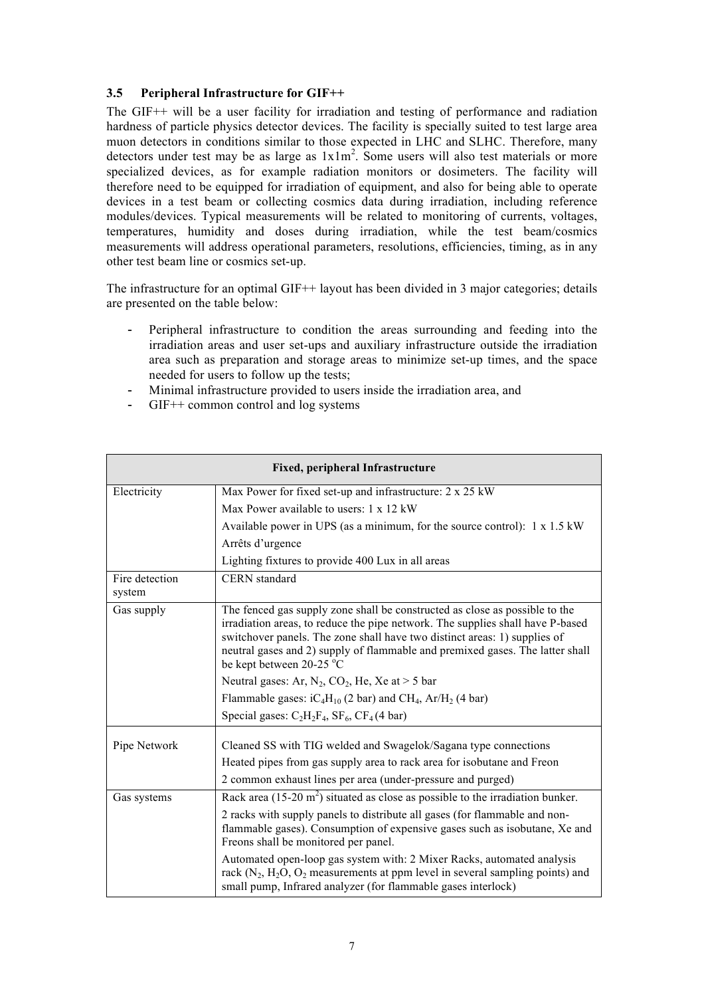### **3.5 Peripheral Infrastructure for GIF++**

The GIF++ will be a user facility for irradiation and testing of performance and radiation hardness of particle physics detector devices. The facility is specially suited to test large area muon detectors in conditions similar to those expected in LHC and SLHC. Therefore, many detectors under test may be as large as  $1x1m^2$ . Some users will also test materials or more specialized devices, as for example radiation monitors or dosimeters. The facility will therefore need to be equipped for irradiation of equipment, and also for being able to operate devices in a test beam or collecting cosmics data during irradiation, including reference modules/devices. Typical measurements will be related to monitoring of currents, voltages, temperatures, humidity and doses during irradiation, while the test beam/cosmics measurements will address operational parameters, resolutions, efficiencies, timing, as in any other test beam line or cosmics set-up.

The infrastructure for an optimal GIF++ layout has been divided in 3 major categories; details are presented on the table below:

- Peripheral infrastructure to condition the areas surrounding and feeding into the irradiation areas and user set-ups and auxiliary infrastructure outside the irradiation area such as preparation and storage areas to minimize set-up times, and the space needed for users to follow up the tests;
- Minimal infrastructure provided to users inside the irradiation area, and
- GIF<sup>++</sup> common control and log systems

| Fixed, peripheral Infrastructure |                                                                                                                                                                                                                                                                                                                                                         |  |  |  |  |
|----------------------------------|---------------------------------------------------------------------------------------------------------------------------------------------------------------------------------------------------------------------------------------------------------------------------------------------------------------------------------------------------------|--|--|--|--|
| Electricity                      | Max Power for fixed set-up and infrastructure: $2 \times 25$ kW                                                                                                                                                                                                                                                                                         |  |  |  |  |
|                                  | Max Power available to users: 1 x 12 kW                                                                                                                                                                                                                                                                                                                 |  |  |  |  |
|                                  | Available power in UPS (as a minimum, for the source control): $1 \times 1.5$ kW                                                                                                                                                                                                                                                                        |  |  |  |  |
|                                  | Arrêts d'urgence                                                                                                                                                                                                                                                                                                                                        |  |  |  |  |
|                                  | Lighting fixtures to provide 400 Lux in all areas                                                                                                                                                                                                                                                                                                       |  |  |  |  |
| Fire detection                   | <b>CERN</b> standard                                                                                                                                                                                                                                                                                                                                    |  |  |  |  |
| system                           |                                                                                                                                                                                                                                                                                                                                                         |  |  |  |  |
| Gas supply                       | The fenced gas supply zone shall be constructed as close as possible to the<br>irradiation areas, to reduce the pipe network. The supplies shall have P-based<br>switchover panels. The zone shall have two distinct areas: 1) supplies of<br>neutral gases and 2) supply of flammable and premixed gases. The latter shall<br>be kept between 20-25 °C |  |  |  |  |
|                                  | Neutral gases: Ar, $N_2$ , $CO_2$ , He, Xe at > 5 bar                                                                                                                                                                                                                                                                                                   |  |  |  |  |
|                                  | Flammable gases: $iC_4H_{10}$ (2 bar) and CH <sub>4</sub> , Ar/H <sub>2</sub> (4 bar)                                                                                                                                                                                                                                                                   |  |  |  |  |
|                                  | Special gases: $C_2H_2F_4$ , $SF_6$ , $CF_4$ (4 bar)                                                                                                                                                                                                                                                                                                    |  |  |  |  |
| Pipe Network                     | Cleaned SS with TIG welded and Swagelok/Sagana type connections<br>Heated pipes from gas supply area to rack area for isobutane and Freon<br>2 common exhaust lines per area (under-pressure and purged)                                                                                                                                                |  |  |  |  |
| Gas systems                      | Rack area $(15{\text -}20 \text{ m}^2)$ situated as close as possible to the irradiation bunker.                                                                                                                                                                                                                                                        |  |  |  |  |
|                                  | 2 racks with supply panels to distribute all gases (for flammable and non-<br>flammable gases). Consumption of expensive gases such as isobutane, Xe and<br>Freons shall be monitored per panel.                                                                                                                                                        |  |  |  |  |
|                                  | Automated open-loop gas system with: 2 Mixer Racks, automated analysis<br>rack $(N_2, H_2O, O_2$ measurements at ppm level in several sampling points) and<br>small pump, Infrared analyzer (for flammable gases interlock)                                                                                                                             |  |  |  |  |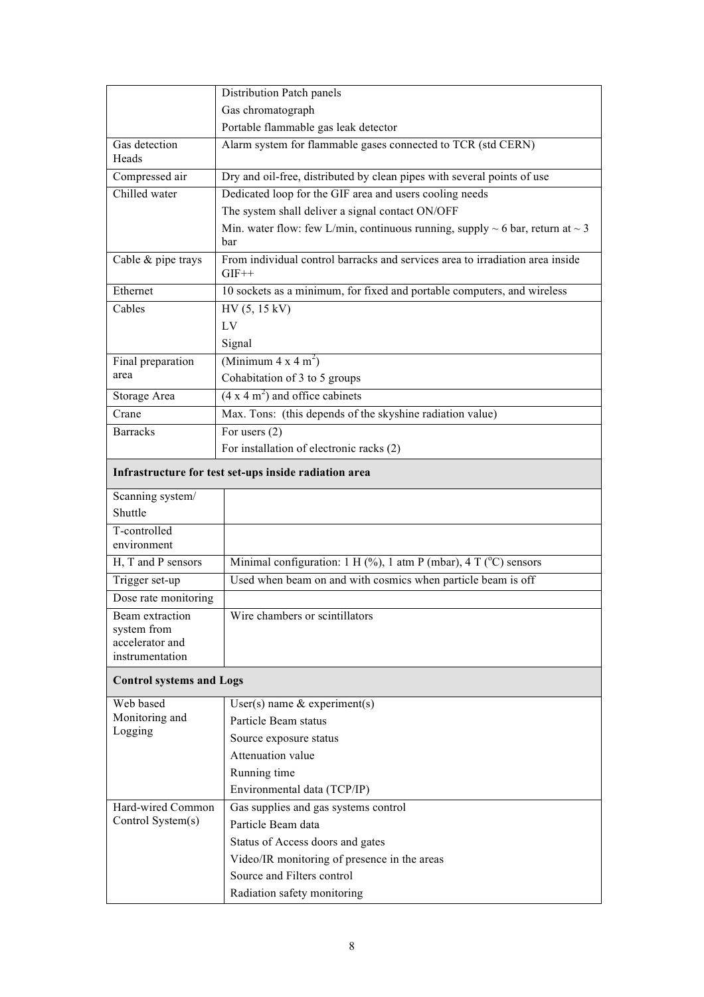|                                        | Distribution Patch panels                                                                      |
|----------------------------------------|------------------------------------------------------------------------------------------------|
|                                        | Gas chromatograph                                                                              |
|                                        | Portable flammable gas leak detector                                                           |
| Gas detection                          | Alarm system for flammable gases connected to TCR (std CERN)                                   |
| Heads                                  |                                                                                                |
| Compressed air                         | Dry and oil-free, distributed by clean pipes with several points of use                        |
| Chilled water                          | Dedicated loop for the GIF area and users cooling needs                                        |
|                                        | The system shall deliver a signal contact ON/OFF                                               |
|                                        | Min. water flow: few L/min, continuous running, supply $\sim$ 6 bar, return at $\sim$ 3<br>bar |
| Cable & pipe trays                     | From individual control barracks and services area to irradiation area inside<br>$GIF++$       |
| Ethernet                               | 10 sockets as a minimum, for fixed and portable computers, and wireless                        |
| Cables                                 | HV (5, 15 kV)                                                                                  |
|                                        | LV                                                                                             |
|                                        | Signal                                                                                         |
| Final preparation                      | (Minimum $4 \times 4$ m <sup>2</sup> )                                                         |
| area                                   | Cohabitation of 3 to 5 groups                                                                  |
| Storage Area                           | $(4 \times 4 \text{ m}^2)$ and office cabinets                                                 |
| Crane                                  | Max. Tons: (this depends of the skyshine radiation value)                                      |
| <b>Barracks</b>                        | For users $(2)$                                                                                |
|                                        | For installation of electronic racks (2)                                                       |
|                                        | Infrastructure for test set-ups inside radiation area                                          |
| Scanning system/                       |                                                                                                |
| Shuttle                                |                                                                                                |
| T-controlled<br>environment            |                                                                                                |
| H, T and P sensors                     | Minimal configuration: 1 H (%), 1 atm P (mbar), 4 T ( $^{\circ}$ C) sensors                    |
|                                        | Used when beam on and with cosmics when particle beam is off                                   |
| Trigger set-up<br>Dose rate monitoring |                                                                                                |
|                                        |                                                                                                |
| Beam extraction<br>system from         | Wire chambers or scintillators                                                                 |
| accelerator and                        |                                                                                                |
| instrumentation                        |                                                                                                |
| <b>Control systems and Logs</b>        |                                                                                                |
| Web based                              | User(s) name $&$ experiment(s)                                                                 |
| Monitoring and                         | Particle Beam status                                                                           |
| Logging                                | Source exposure status                                                                         |
|                                        | Attenuation value                                                                              |
|                                        | Running time                                                                                   |
|                                        | Environmental data (TCP/IP)                                                                    |
| Hard-wired Common                      | Gas supplies and gas systems control                                                           |
| Control System(s)                      | Particle Beam data                                                                             |
|                                        | Status of Access doors and gates                                                               |
|                                        | Video/IR monitoring of presence in the areas                                                   |
|                                        | Source and Filters control                                                                     |
|                                        | Radiation safety monitoring                                                                    |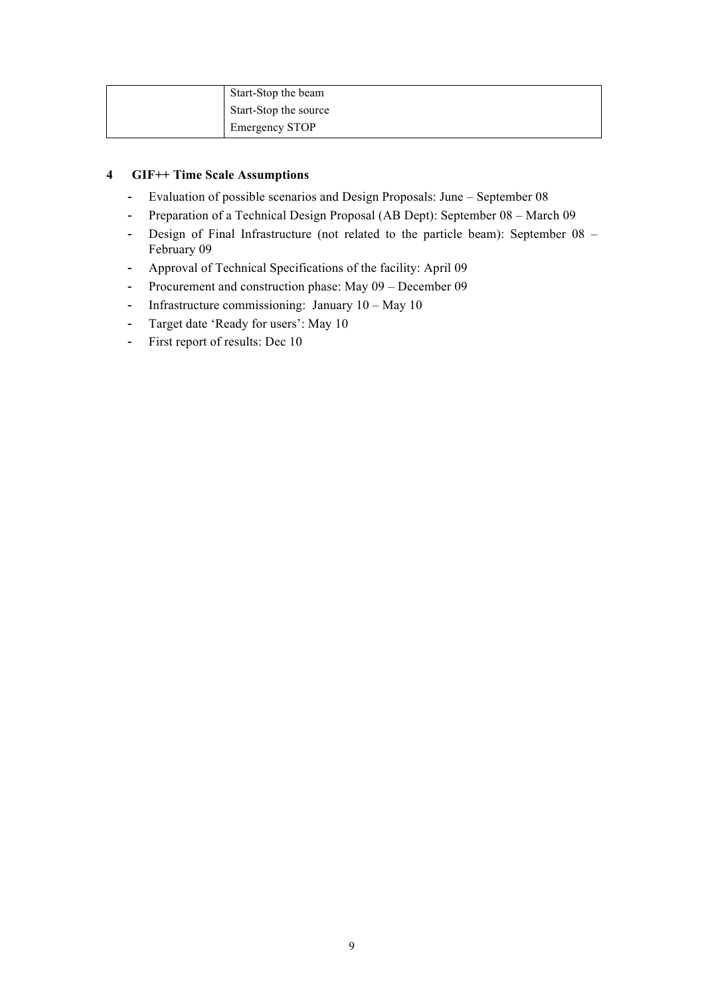| Start-Stop the beam   |
|-----------------------|
| Start-Stop the source |
| <b>Emergency STOP</b> |

# **4 GIF++ Time Scale Assumptions**

- Evaluation of possible scenarios and Design Proposals: June September 08
- Preparation of a Technical Design Proposal (AB Dept): September 08 March 09
- Design of Final Infrastructure (not related to the particle beam): September 08 February 09
- Approval of Technical Specifications of the facility: April 09
- Procurement and construction phase: May 09 December 09
- Infrastructure commissioning: January 10 May 10
- Target date 'Ready for users': May 10
- First report of results: Dec 10